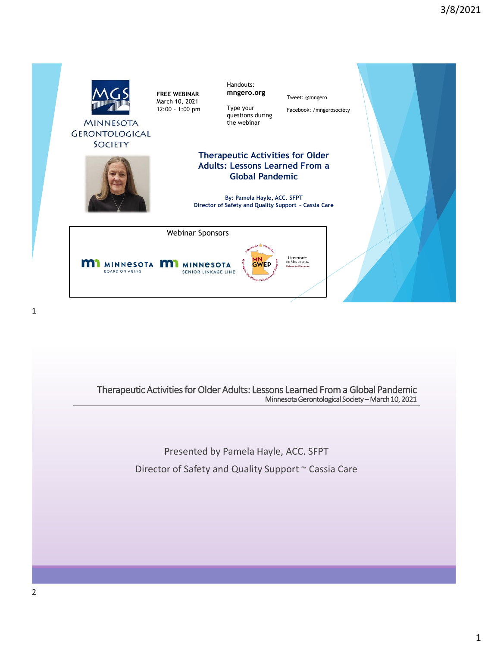

> Presented by Pamela Hayle, ACC. SFPT Director of Safety and Quality Support ~ Cassia Care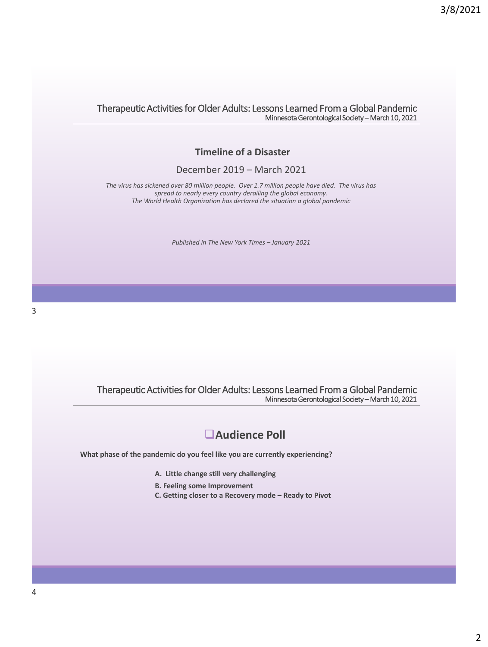### **Timeline of a Disaster**

### December 2019 – March 2021

*The virus has sickened over 80 million people. Over 1.7 million people have died. The virus has spread to nearly every country derailing the global economy. The World Health Organization has declared the situation a global pandemic*

*Published in The New York Times – January 2021*

Therapeutic Activities for Older Adults: Lessons Learned From a Global Pandemic Minnesota Gerontological Society – March 10, 2021

### ❑**Audience Poll**

**What phase of the pandemic do you feel like you are currently experiencing?**

- **A. Little change still very challenging**
- **B. Feeling some Improvement**
- **C. Getting closer to a Recovery mode – Ready to Pivot**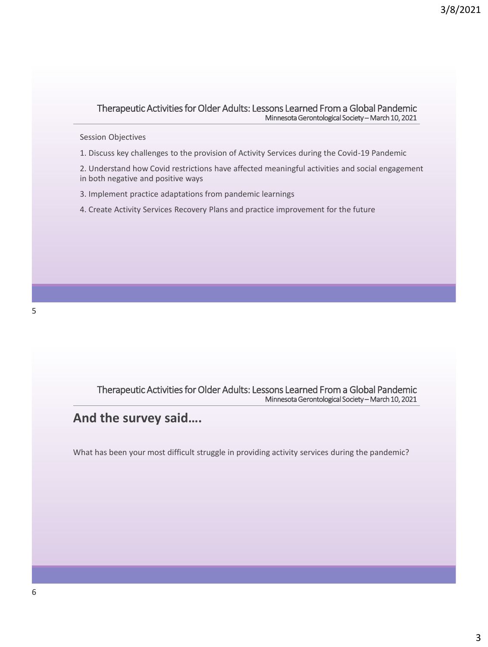### Session Objectives

- 1. Discuss key challenges to the provision of Activity Services during the Covid-19 Pandemic
- 2. Understand how Covid restrictions have affected meaningful activities and social engagement in both negative and positive ways
- 3. Implement practice adaptations from pandemic learnings
- 4. Create Activity Services Recovery Plans and practice improvement for the future

Therapeutic Activities for Older Adults: Lessons Learned From a Global Pandemic Minnesota Gerontological Society – March 10, 2021

## **And the survey said….**

What has been your most difficult struggle in providing activity services during the pandemic?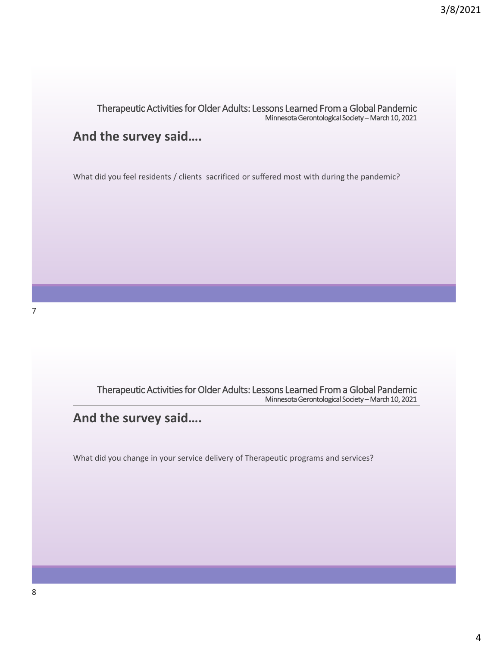## **And the survey said….**

What did you feel residents / clients sacrificed or suffered most with during the pandemic?

Therapeutic Activities for Older Adults: Lessons Learned From a Global Pandemic Minnesota Gerontological Society – March 10, 2021

## **And the survey said….**

What did you change in your service delivery of Therapeutic programs and services?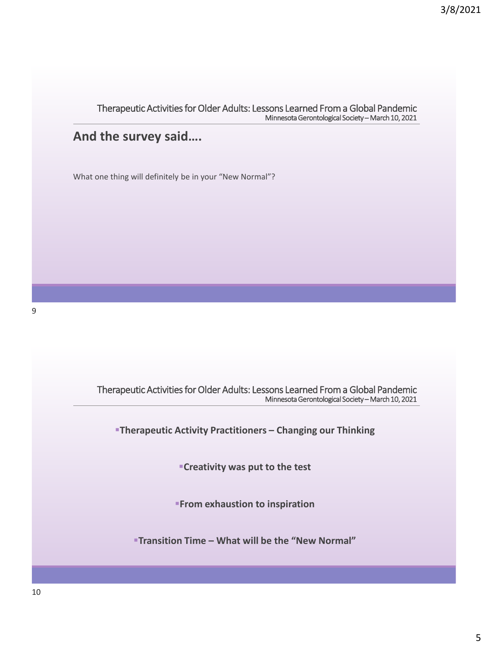# **And the survey said….**

What one thing will definitely be in your "New Normal"?

Therapeutic Activities for Older Adults: Lessons Learned From a Global Pandemic Minnesota Gerontological Society – March 10, 2021 ▪**Therapeutic Activity Practitioners – Changing our Thinking** ▪**Creativity was put to the test** *<b>From exhaustion to inspiration* ▪**Transition Time – What will be the "New Normal"**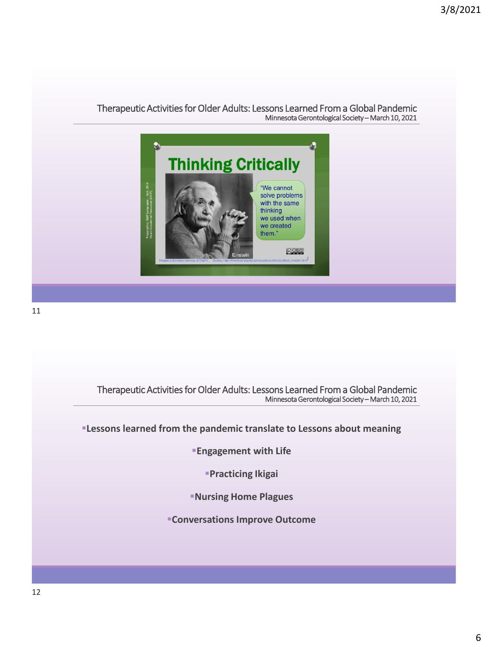

Therapeutic Activities for Older Adults: Lessons Learned From a Global Pandemic Minnesota Gerontological Society – March 10, 2021

*<b>ILESSONS learned from the pandemic translate to Lessons about meaning* 

**Engagement with Life** 

▪**Practicing Ikigai**

▪**Nursing Home Plagues** 

**ECONVERSATIONS Improve Outcome**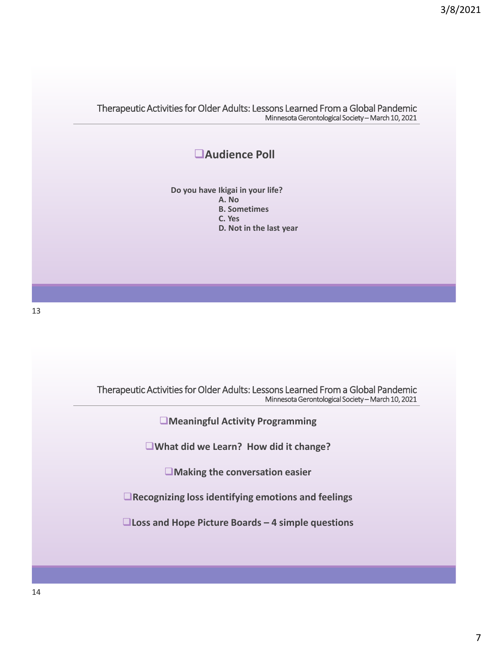## ❑**Audience Poll**

**Do you have Ikigai in your life? A. No B. Sometimes**

**C. Yes**

**D. Not in the last year**

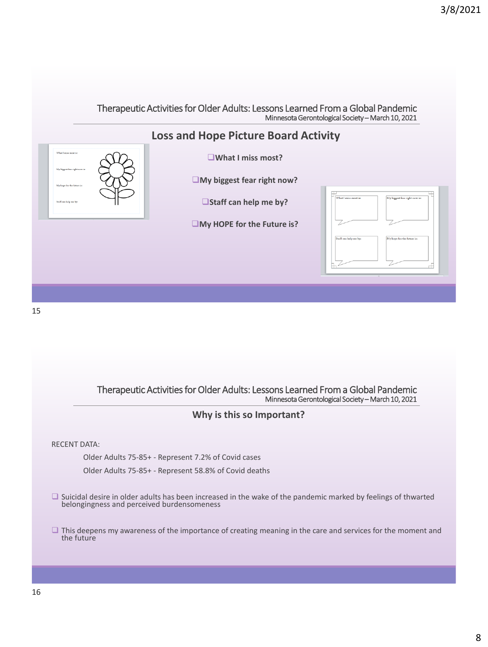

15

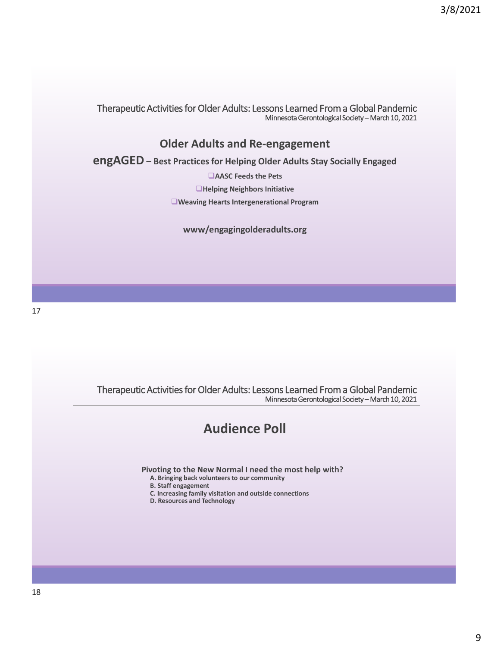### **Older Adults and Re-engagement**

**engAGED – Best Practices for Helping Older Adults Stay Socially Engaged**

❑**AASC Feeds the Pets** ❑**Helping Neighbors Initiative** ❑**Weaving Hearts Intergenerational Program**

**www/engagingolderadults.org** 

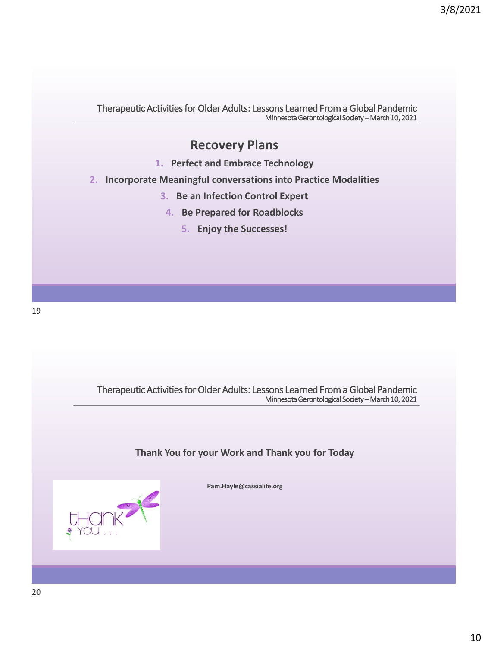## **Recovery Plans**

- **1. Perfect and Embrace Technology**
- **2. Incorporate Meaningful conversations into Practice Modalities**
	- **3. Be an Infection Control Expert**
	- **4. Be Prepared for Roadblocks**
		- **5. Enjoy the Successes!**